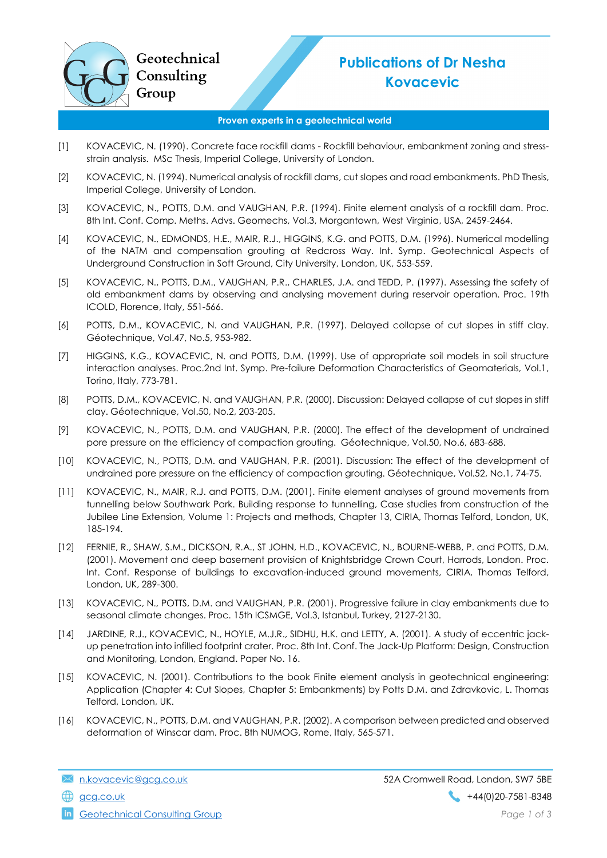

## Proven experts in a geotechnical world

- [1] KOVACEVIC, N. (1990). Concrete face rockfill dams Rockfill behaviour, embankment zoning and stressstrain analysis. MSc Thesis, Imperial College, University of London.
- [2] KOVACEVIC, N. (1994). Numerical analysis of rockfill dams, cut slopes and road embankments. PhD Thesis, Imperial College, University of London.
- [3] KOVACEVIC, N., POTTS, D.M. and VAUGHAN, P.R. (1994). Finite element analysis of a rockfill dam. Proc. 8th Int. Conf. Comp. Meths. Advs. Geomechs, Vol.3, Morgantown, West Virginia, USA, 2459-2464.
- [4] KOVACEVIC, N., EDMONDS, H.E., MAIR, R.J., HIGGINS, K.G. and POTTS, D.M. (1996). Numerical modelling of the NATM and compensation grouting at Redcross Way. Int. Symp. Geotechnical Aspects of Underground Construction in Soft Ground, City University, London, UK, 553-559.
- [5] KOVACEVIC, N., POTTS, D.M., VAUGHAN, P.R., CHARLES, J.A. and TEDD, P. (1997). Assessing the safety of old embankment dams by observing and analysing movement during reservoir operation. Proc. 19th ICOLD, Florence, Italy, 551-566.
- [6] POTTS, D.M., KOVACEVIC, N. and VAUGHAN, P.R. (1997). Delayed collapse of cut slopes in stiff clay. Géotechnique, Vol.47, No.5, 953-982.
- [7] HIGGINS, K.G., KOVACEVIC, N. and POTTS, D.M. (1999). Use of appropriate soil models in soil structure interaction analyses. Proc.2nd Int. Symp. Pre-failure Deformation Characteristics of Geomaterials, Vol.1, Torino, Italy, 773-781.
- [8] POTTS, D.M., KOVACEVIC, N. and VAUGHAN, P.R. (2000). Discussion: Delayed collapse of cut slopes in stiff clay. Géotechnique, Vol.50, No.2, 203-205.
- [9] KOVACEVIC, N., POTTS, D.M. and VAUGHAN, P.R. (2000). The effect of the development of undrained pore pressure on the efficiency of compaction grouting. Géotechnique, Vol.50, No.6, 683-688.
- [10] KOVACEVIC, N., POTTS, D.M. and VAUGHAN, P.R. (2001). Discussion: The effect of the development of undrained pore pressure on the efficiency of compaction grouting. Géotechnique, Vol.52, No.1, 74-75.
- [11] KOVACEVIC, N., MAIR, R.J. and POTTS, D.M. (2001). Finite element analyses of ground movements from tunnelling below Southwark Park. Building response to tunnelling, Case studies from construction of the Jubilee Line Extension, Volume 1: Projects and methods, Chapter 13, CIRIA, Thomas Telford, London, UK, 185-194.
- [12] FERNIE, R., SHAW, S.M., DICKSON, R.A., ST JOHN, H.D., KOVACEVIC, N., BOURNE-WEBB, P. and POTTS, D.M. (2001). Movement and deep basement provision of Knightsbridge Crown Court, Harrods, London. Proc. Int. Conf. Response of buildings to excavation-induced ground movements, CIRIA, Thomas Telford, London, UK, 289-300.
- [13] KOVACEVIC, N., POTTS, D.M. and VAUGHAN, P.R. (2001). Progressive failure in clay embankments due to seasonal climate changes. Proc. 15th ICSMGE, Vol.3, Istanbul, Turkey, 2127-2130.
- [14] JARDINE, R.J., KOVACEVIC, N., HOYLE, M.J.R., SIDHU, H.K. and LETTY, A. (2001). A study of eccentric jackup penetration into infilled footprint crater. Proc. 8th Int. Conf. The Jack-Up Platform: Design, Construction and Monitoring, London, England. Paper No. 16.
- [15] KOVACEVIC, N. (2001). Contributions to the book Finite element analysis in geotechnical engineering: Application (Chapter 4: Cut Slopes, Chapter 5: Embankments) by Potts D.M. and Zdravkovic, L. Thomas Telford, London, UK.
- [16] KOVACEVIC, N., POTTS, D.M. and VAUGHAN, P.R. (2002). A comparison between predicted and observed deformation of Winscar dam. Proc. 8th NUMOG, Rome, Italy, 565-571.

**in** Geotechnical Consulting Group **Page 1 of 3 Page 1 of 3**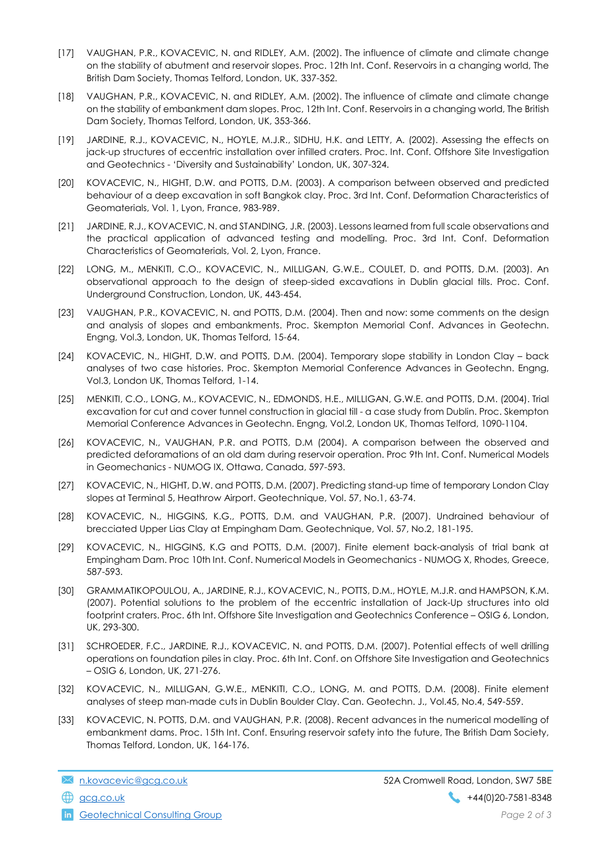- [17] VAUGHAN, P.R., KOVACEVIC, N. and RIDLEY, A.M. (2002). The influence of climate and climate change on the stability of abutment and reservoir slopes. Proc. 12th Int. Conf. Reservoirs in a changing world, The British Dam Society, Thomas Telford, London, UK, 337-352.
- [18] VAUGHAN, P.R., KOVACEVIC, N. and RIDLEY, A.M. (2002). The influence of climate and climate change on the stability of embankment dam slopes. Proc, 12th Int. Conf. Reservoirs in a changing world, The British Dam Society, Thomas Telford, London, UK, 353-366.
- [19] JARDINE, R.J., KOVACEVIC, N., HOYLE, M.J.R., SIDHU, H.K. and LETTY, A. (2002). Assessing the effects on jack-up structures of eccentric installation over infilled craters. Proc. Int. Conf. Offshore Site Investigation and Geotechnics - 'Diversity and Sustainability' London, UK, 307-324.
- [20] KOVACEVIC, N., HIGHT, D.W. and POTTS, D.M. (2003). A comparison between observed and predicted behaviour of a deep excavation in soft Bangkok clay. Proc. 3rd Int. Conf. Deformation Characteristics of Geomaterials, Vol. 1, Lyon, France, 983-989.
- [21] JARDINE, R.J., KOVACEVIC, N. and STANDING, J.R. (2003). Lessons learned from full scale observations and the practical application of advanced testing and modelling. Proc. 3rd Int. Conf. Deformation Characteristics of Geomaterials, Vol. 2, Lyon, France.
- [22] LONG, M., MENKITI, C.O., KOVACEVIC, N., MILLIGAN, G.W.E., COULET, D. and POTTS, D.M. (2003). An observational approach to the design of steep-sided excavations in Dublin glacial tills. Proc. Conf. Underground Construction, London, UK, 443-454.
- [23] VAUGHAN, P.R., KOVACEVIC, N. and POTTS, D.M. (2004). Then and now: some comments on the design and analysis of slopes and embankments. Proc. Skempton Memorial Conf. Advances in Geotechn. Engng, Vol.3, London, UK, Thomas Telford, 15-64.
- [24] KOVACEVIC, N., HIGHT, D.W. and POTTS, D.M. (2004). Temporary slope stability in London Clay back analyses of two case histories. Proc. Skempton Memorial Conference Advances in Geotechn. Engng, Vol.3, London UK, Thomas Telford, 1-14.
- [25] MENKITI, C.O., LONG, M., KOVACEVIC, N., EDMONDS, H.E., MILLIGAN, G.W.E. and POTTS, D.M. (2004). Trial excavation for cut and cover tunnel construction in glacial till - a case study from Dublin. Proc. Skempton Memorial Conference Advances in Geotechn. Engng, Vol.2, London UK, Thomas Telford, 1090-1104.
- [26] KOVACEVIC, N., VAUGHAN, P.R. and POTTS, D.M (2004). A comparison between the observed and predicted deforamations of an old dam during reservoir operation. Proc 9th Int. Conf. Numerical Models in Geomechanics - NUMOG IX, Ottawa, Canada, 597-593.
- [27] KOVACEVIC, N., HIGHT, D.W. and POTTS, D.M. (2007). Predicting stand-up time of temporary London Clay slopes at Terminal 5, Heathrow Airport. Geotechnique, Vol. 57, No.1, 63-74.
- [28] KOVACEVIC, N., HIGGINS, K.G., POTTS, D.M. and VAUGHAN, P.R. (2007). Undrained behaviour of brecciated Upper Lias Clay at Empingham Dam. Geotechnique, Vol. 57, No.2, 181-195.
- [29] KOVACEVIC, N., HIGGINS, K.G and POTTS, D.M. (2007). Finite element back-analysis of trial bank at Empingham Dam. Proc 10th Int. Conf. Numerical Models in Geomechanics - NUMOG X, Rhodes, Greece, 587-593.
- [30] GRAMMATIKOPOULOU, A., JARDINE, R.J., KOVACEVIC, N., POTTS, D.M., HOYLE, M.J.R. and HAMPSON, K.M. (2007). Potential solutions to the problem of the eccentric installation of Jack-Up structures into old footprint craters. Proc. 6th Int. Offshore Site Investigation and Geotechnics Conference – OSIG 6, London, UK, 293-300.
- [31] SCHROEDER, F.C., JARDINE, R.J., KOVACEVIC, N. and POTTS, D.M. (2007). Potential effects of well drilling operations on foundation piles in clay. Proc. 6th Int. Conf. on Offshore Site Investigation and Geotechnics – OSIG 6, London, UK, 271-276.
- [32] KOVACEVIC, N., MILLIGAN, G.W.E., MENKITI, C.O., LONG, M. and POTTS, D.M. (2008). Finite element analyses of steep man-made cuts in Dublin Boulder Clay. Can. Geotechn. J., Vol.45, No.4, 549-559.
- [33] KOVACEVIC, N. POTTS, D.M. and VAUGHAN, P.R. (2008). Recent advances in the numerical modelling of embankment dams. Proc. 15th Int. Conf. Ensuring reservoir safety into the future, The British Dam Society, Thomas Telford, London, UK, 164-176.